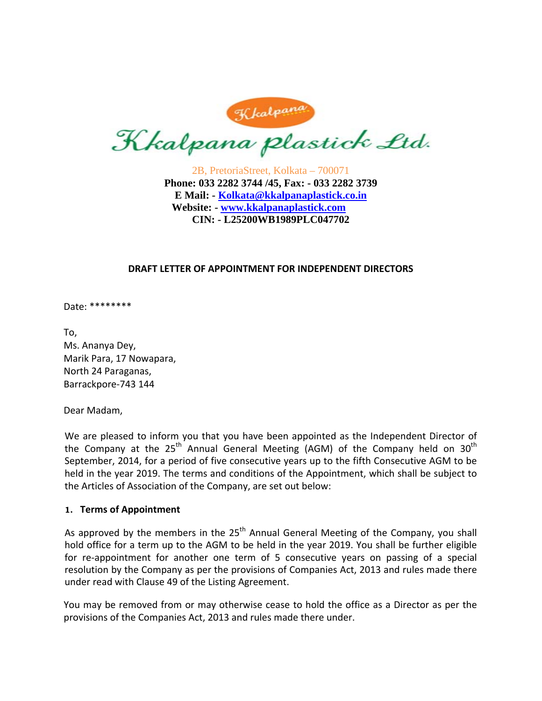Kkalpana plastick Ltd.

2B, PretoriaStreet, Kolkata – 700071 **Phone: 033 2282 3744 /45, Fax: - 033 2282 3739 E Mail: - Kolkata@kkalpanaplastick.co.in Website: - www.kkalpanaplastick.com CIN: - L25200WB1989PLC047702** 

#### **DRAFT LETTER OF APPOINTMENT FOR INDEPENDENT DIRECTORS**

#### Date: \*\*\*\*\*\*\*\*

To, Ms. Ananya Dey, Marik Para, 17 Nowapara, North 24 Paraganas, Barrackpore‐743 144

Dear Madam,

We are pleased to inform you that you have been appointed as the Independent Director of the Company at the 25<sup>th</sup> Annual General Meeting (AGM) of the Company held on 30<sup>th</sup> September, 2014, for a period of five consecutive years up to the fifth Consecutive AGM to be held in the year 2019. The terms and conditions of the Appointment, which shall be subject to the Articles of Association of the Company, are set out below:

#### **1. Terms of Appointment**

As approved by the members in the  $25<sup>th</sup>$  Annual General Meeting of the Company, you shall hold office for a term up to the AGM to be held in the year 2019. You shall be further eligible for re-appointment for another one term of 5 consecutive years on passing of a special resolution by the Company as per the provisions of Companies Act, 2013 and rules made there under read with Clause 49 of the Listing Agreement.

You may be removed from or may otherwise cease to hold the office as a Director as per the provisions of the Companies Act, 2013 and rules made there under.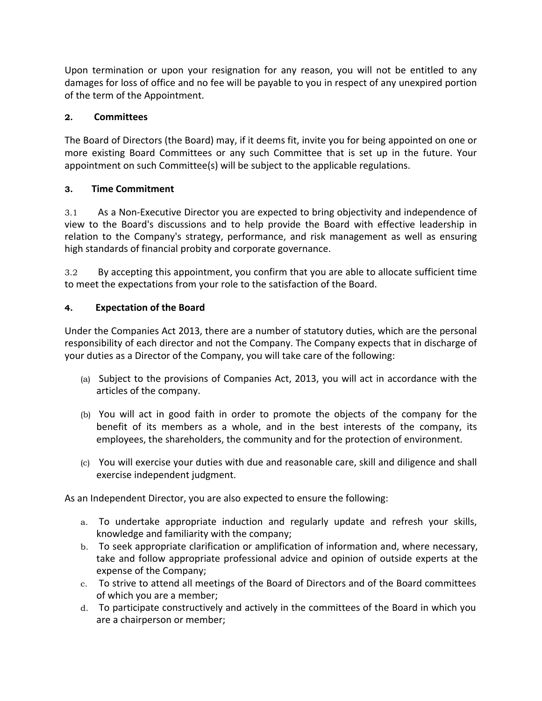Upon termination or upon your resignation for any reason, you will not be entitled to any damages for loss of office and no fee will be payable to you in respect of any unexpired portion of the term of the Appointment.

# **2. Committees**

The Board of Directors (the Board) may, if it deems fit, invite you for being appointed on one or more existing Board Committees or any such Committee that is set up in the future. Your appointment on such Committee(s) will be subject to the applicable regulations.

# **3. Time Commitment**

3.1 As a Non‐Executive Director you are expected to bring objectivity and independence of view to the Board's discussions and to help provide the Board with effective leadership in relation to the Company's strategy, performance, and risk management as well as ensuring high standards of financial probity and corporate governance.

3.2 By accepting this appointment, you confirm that you are able to allocate sufficient time to meet the expectations from your role to the satisfaction of the Board.

# **4. Expectation of the Board**

Under the Companies Act 2013, there are a number of statutory duties, which are the personal responsibility of each director and not the Company. The Company expects that in discharge of your duties as a Director of the Company, you will take care of the following:

- (a) Subject to the provisions of Companies Act, 2013, you will act in accordance with the articles of the company.
- (b) You will act in good faith in order to promote the objects of the company for the benefit of its members as a whole, and in the best interests of the company, its employees, the shareholders, the community and for the protection of environment.
- (c) You will exercise your duties with due and reasonable care, skill and diligence and shall exercise independent judgment.

As an Independent Director, you are also expected to ensure the following:

- a. To undertake appropriate induction and regularly update and refresh your skills, knowledge and familiarity with the company;
- b. To seek appropriate clarification or amplification of information and, where necessary, take and follow appropriate professional advice and opinion of outside experts at the expense of the Company;
- c. To strive to attend all meetings of the Board of Directors and of the Board committees of which you are a member;
- d. To participate constructively and actively in the committees of the Board in which you are a chairperson or member;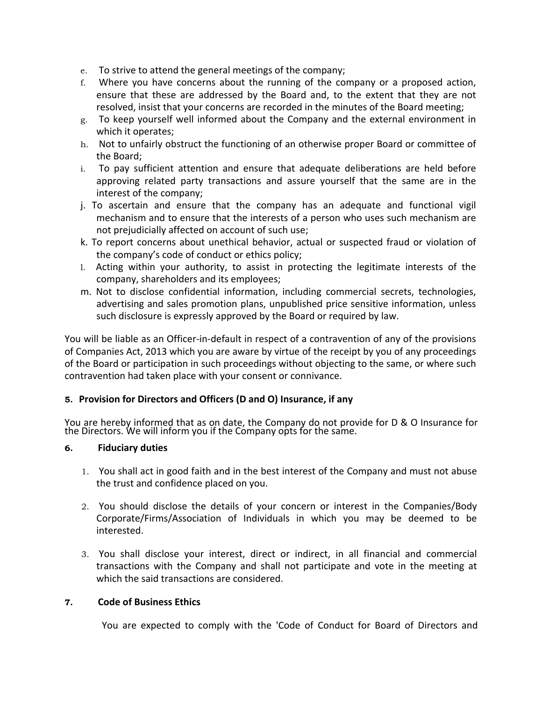- e. To strive to attend the general meetings of the company;
- f. Where you have concerns about the running of the company or a proposed action, ensure that these are addressed by the Board and, to the extent that they are not resolved, insist that your concerns are recorded in the minutes of the Board meeting;
- g. To keep yourself well informed about the Company and the external environment in which it operates;
- h. Not to unfairly obstruct the functioning of an otherwise proper Board or committee of the Board;
- i. To pay sufficient attention and ensure that adequate deliberations are held before approving related party transactions and assure yourself that the same are in the interest of the company;
- j. To ascertain and ensure that the company has an adequate and functional vigil mechanism and to ensure that the interests of a person who uses such mechanism are not prejudicially affected on account of such use;
- k. To report concerns about unethical behavior, actual or suspected fraud or violation of the company's code of conduct or ethics policy;
- l. Acting within your authority, to assist in protecting the legitimate interests of the company, shareholders and its employees;
- m. Not to disclose confidential information, including commercial secrets, technologies, advertising and sales promotion plans, unpublished price sensitive information, unless such disclosure is expressly approved by the Board or required by law.

You will be liable as an Officer‐in‐default in respect of a contravention of any of the provisions of Companies Act, 2013 which you are aware by virtue of the receipt by you of any proceedings of the Board or participation in such proceedings without objecting to the same, or where such contravention had taken place with your consent or connivance.

## **5. Provision for Directors and Officers (D and O) Insurance, if any**

You are hereby informed that as on date, the Company do not provide for D & O Insurance for the Directors. We will inform you if the Company opts for the same.

### **6. Fiduciary duties**

- 1. You shall act in good faith and in the best interest of the Company and must not abuse the trust and confidence placed on you.
- 2. You should disclose the details of your concern or interest in the Companies/Body Corporate/Firms/Association of Individuals in which you may be deemed to be interested.
- 3. You shall disclose your interest, direct or indirect, in all financial and commercial transactions with the Company and shall not participate and vote in the meeting at which the said transactions are considered.

### **7. Code of Business Ethics**

You are expected to comply with the 'Code of Conduct for Board of Directors and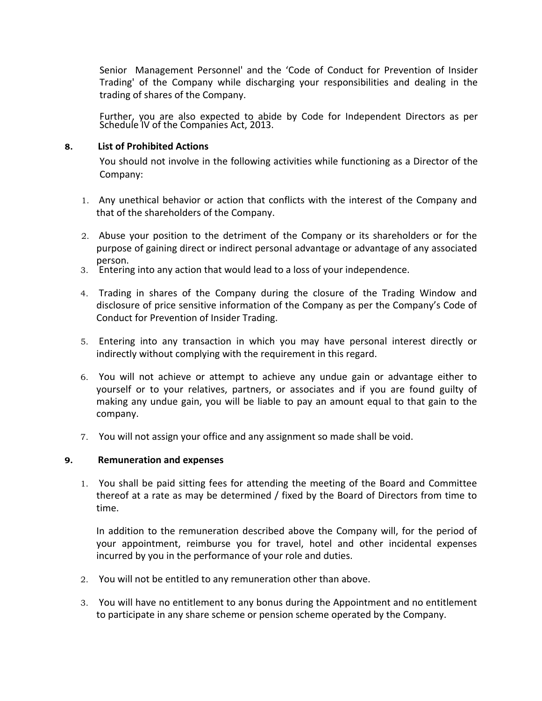Senior Management Personnel' and the 'Code of Conduct for Prevention of Insider Trading' of the Company while discharging your responsibilities and dealing in the trading of shares of the Company.

Further, you are also expected to abide by Code for Independent Directors as per Schedule IV of the Companies Act, 2013.

### **8. List of Prohibited Actions**

You should not involve in the following activities while functioning as a Director of the Company:

- 1. Any unethical behavior or action that conflicts with the interest of the Company and that of the shareholders of the Company.
- 2. Abuse your position to the detriment of the Company or its shareholders or for the purpose of gaining direct or indirect personal advantage or advantage of any associated person.
- 3. Entering into any action that would lead to a loss of your independence.
- 4. Trading in shares of the Company during the closure of the Trading Window and disclosure of price sensitive information of the Company as per the Company's Code of Conduct for Prevention of Insider Trading.
- 5. Entering into any transaction in which you may have personal interest directly or indirectly without complying with the requirement in this regard.
- 6. You will not achieve or attempt to achieve any undue gain or advantage either to yourself or to your relatives, partners, or associates and if you are found guilty of making any undue gain, you will be liable to pay an amount equal to that gain to the company.
- 7. You will not assign your office and any assignment so made shall be void.

### **9. Remuneration and expenses**

1. You shall be paid sitting fees for attending the meeting of the Board and Committee thereof at a rate as may be determined / fixed by the Board of Directors from time to time.

In addition to the remuneration described above the Company will, for the period of your appointment, reimburse you for travel, hotel and other incidental expenses incurred by you in the performance of your role and duties.

- 2. You will not be entitled to any remuneration other than above.
- 3. You will have no entitlement to any bonus during the Appointment and no entitlement to participate in any share scheme or pension scheme operated by the Company.